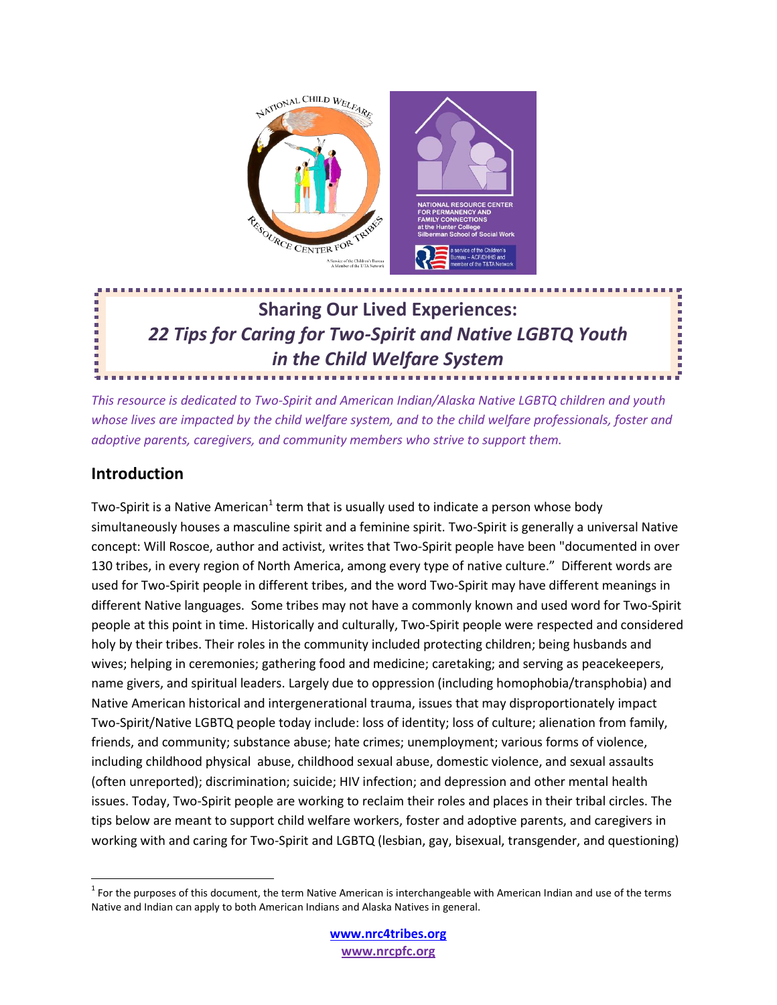

# **Sharing Our Lived Experiences:** *22 Tips for Caring for Two-Spirit and Native LGBTQ Youth in the Child Welfare System*

*This resource is dedicated to Two-Spirit and American Indian/Alaska Native LGBTQ children and youth whose lives are impacted by the child welfare system, and to the child welfare professionals, foster and adoptive parents, caregivers, and community members who strive to support them.* 

### **Introduction**

Two-Spirit is a Native American<sup>1</sup> term that is usually used to indicate a person whose body simultaneously houses a masculine spirit and a feminine spirit. Two-Spirit is generally a universal Native concept: Will Roscoe, author and activist, writes that Two-Spirit people have been "documented in over 130 tribes, in every region of North America, among every type of native culture." Different words are used for Two-Spirit people in different tribes, and the word Two-Spirit may have different meanings in different Native languages. Some tribes may not have a commonly known and used word for Two-Spirit people at this point in time. Historically and culturally, Two-Spirit people were respected and considered holy by their tribes. Their roles in the community included protecting children; being husbands and wives; helping in ceremonies; gathering food and medicine; caretaking; and serving as peacekeepers, name givers, and spiritual leaders. Largely due to oppression (including homophobia/transphobia) and Native American historical and intergenerational trauma, issues that may disproportionately impact Two-Spirit/Native LGBTQ people today include: loss of identity; loss of culture; alienation from family, friends, and community; substance abuse; hate crimes; unemployment; various forms of violence, including childhood physical abuse, childhood sexual abuse, domestic violence, and sexual assaults (often unreported); discrimination; suicide; HIV infection; and depression and other mental health issues. Today, Two-Spirit people are working to reclaim their roles and places in their tribal circles. The tips below are meant to support child welfare workers, foster and adoptive parents, and caregivers in working with and caring for Two-Spirit and LGBTQ (lesbian, gay, bisexual, transgender, and questioning)

 $1$  For the purposes of this document, the term Native American is interchangeable with American Indian and use of the terms Native and Indian can apply to both American Indians and Alaska Natives in general.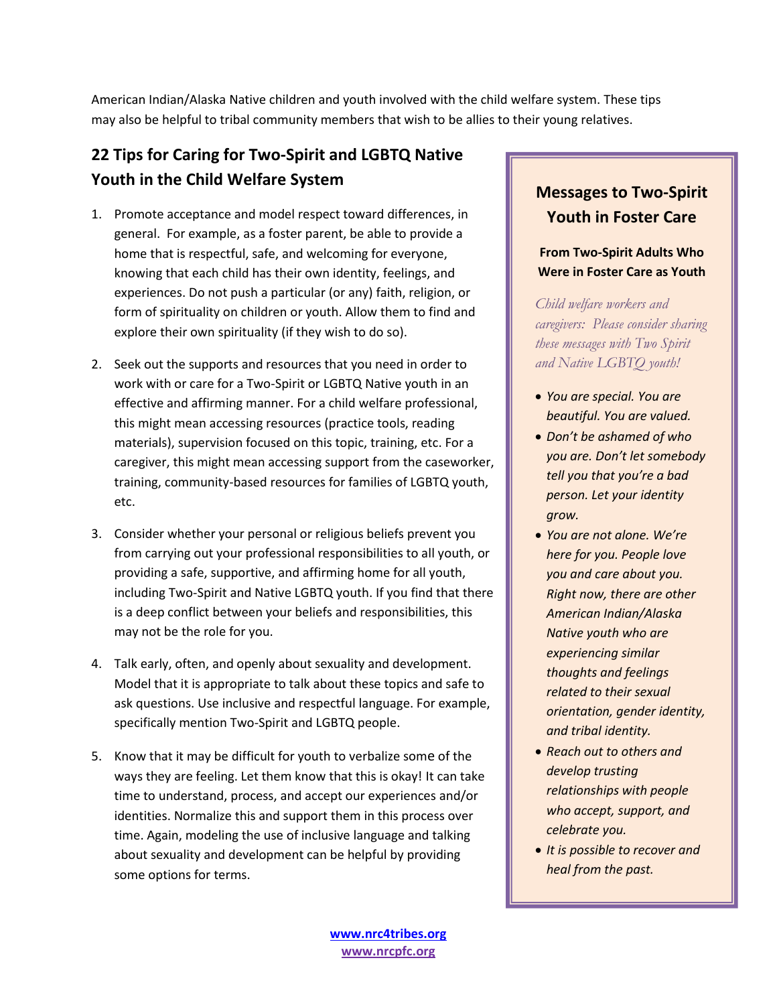American Indian/Alaska Native children and youth involved with the child welfare system. These tips may also be helpful to tribal community members that wish to be allies to their young relatives.

## **22 Tips for Caring for Two-Spirit and LGBTQ Native Youth in the Child Welfare System**

- 1. Promote acceptance and model respect toward differences, in general. For example, as a foster parent, be able to provide a home that is respectful, safe, and welcoming for everyone, knowing that each child has their own identity, feelings, and experiences. Do not push a particular (or any) faith, religion, or form of spirituality on children or youth. Allow them to find and explore their own spirituality (if they wish to do so).
- 2. Seek out the supports and resources that you need in order to work with or care for a Two-Spirit or LGBTQ Native youth in an effective and affirming manner. For a child welfare professional, this might mean accessing resources (practice tools, reading materials), supervision focused on this topic, training, etc. For a caregiver, this might mean accessing support from the caseworker, training, community-based resources for families of LGBTQ youth, etc.
- 3. Consider whether your personal or religious beliefs prevent you from carrying out your professional responsibilities to all youth, or providing a safe, supportive, and affirming home for all youth, including Two-Spirit and Native LGBTQ youth. If you find that there is a deep conflict between your beliefs and responsibilities, this may not be the role for you.
- 4. Talk early, often, and openly about sexuality and development. Model that it is appropriate to talk about these topics and safe to ask questions. Use inclusive and respectful language. For example, specifically mention Two-Spirit and LGBTQ people.
- 5. Know that it may be difficult for youth to verbalize some of the ways they are feeling. Let them know that this is okay! It can take time to understand, process, and accept our experiences and/or identities. Normalize this and support them in this process over time. Again, modeling the use of inclusive language and talking about sexuality and development can be helpful by providing some options for terms.

## **Messages to Two-Spirit Youth in Foster Care**

#### **From Two-Spirit Adults Who Were in Foster Care as Youth**

*Child welfare workers and caregivers: Please consider sharing these messages with Two Spirit and Native LGBTQ youth!*

- x *You are special. You are beautiful. You are valued.*
- x *Don't be ashamed of who you are. Don't let somebody tell you that you're a bad person. Let your identity grow.*
- x *You are not alone. We're here for you. People love you and care about you. Right now, there are other American Indian/Alaska Native youth who are experiencing similar thoughts and feelings related to their sexual orientation, gender identity, and tribal identity.*
- x *Reach out to others and develop trusting relationships with people who accept, support, and celebrate you.*
- **•** It is possible to recover and *heal from the past.*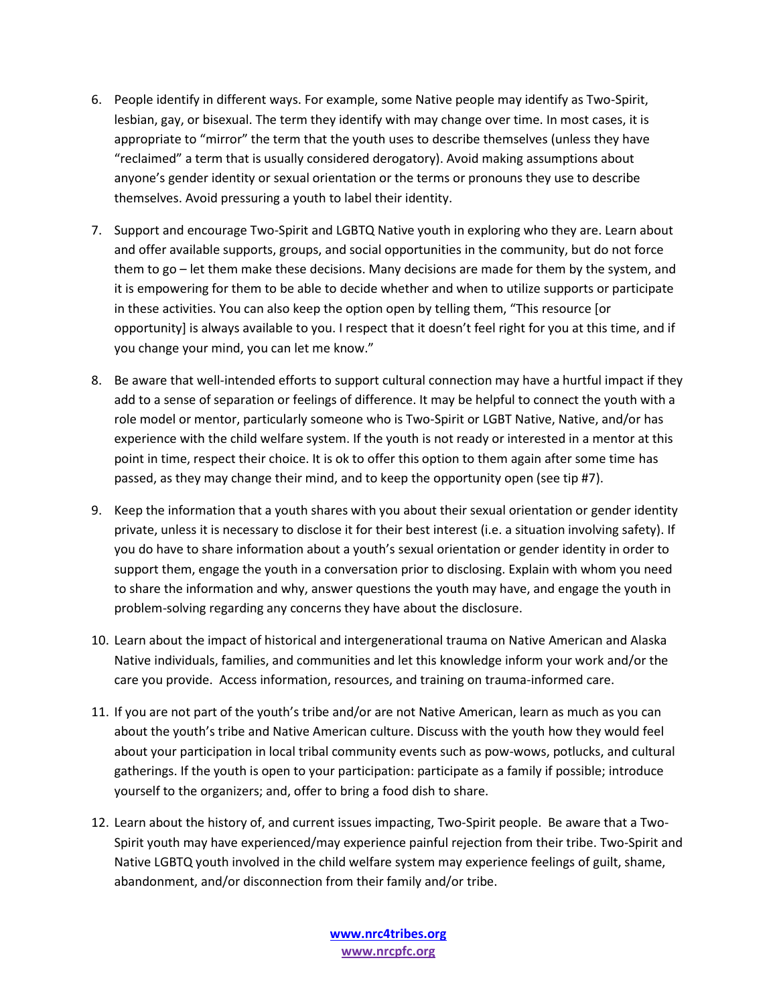- 6. People identify in different ways. For example, some Native people may identify as Two-Spirit, lesbian, gay, or bisexual. The term they identify with may change over time. In most cases, it is appropriate to "mirror" the term that the youth uses to describe themselves (unless they have "reclaimed" a term that is usually considered derogatory). Avoid making assumptions about anyone's gender identity or sexual orientation or the terms or pronouns they use to describe themselves. Avoid pressuring a youth to label their identity.
- 7. Support and encourage Two-Spirit and LGBTQ Native youth in exploring who they are. Learn about and offer available supports, groups, and social opportunities in the community, but do not force them to go – let them make these decisions. Many decisions are made for them by the system, and it is empowering for them to be able to decide whether and when to utilize supports or participate in these activities. You can also keep the option open by telling them, "This resource for opportunity] is always available to you. I respect that it doesn't feel right for you at this time, and if you change your mind, you can let me know."
- 8. Be aware that well-intended efforts to support cultural connection may have a hurtful impact if they add to a sense of separation or feelings of difference. It may be helpful to connect the youth with a role model or mentor, particularly someone who is Two-Spirit or LGBT Native, Native, and/or has experience with the child welfare system. If the youth is not ready or interested in a mentor at this point in time, respect their choice. It is ok to offer this option to them again after some time has passed, as they may change their mind, and to keep the opportunity open (see tip #7).
- 9. Keep the information that a youth shares with you about their sexual orientation or gender identity private, unless it is necessary to disclose it for their best interest (i.e. a situation involving safety). If you do have to share information about a youth's sexual orientation or gender identity in order to support them, engage the youth in a conversation prior to disclosing. Explain with whom you need to share the information and why, answer questions the youth may have, and engage the youth in problem-solving regarding any concerns they have about the disclosure.
- 10. Learn about the impact of historical and intergenerational trauma on Native American and Alaska Native individuals, families, and communities and let this knowledge inform your work and/or the care you provide. Access information, resources, and training on trauma-informed care.
- 11. If you are not part of the youth's tribe and/or are not Native American, learn as much as you can about the youth's tribe and Native American culture. Discuss with the youth how they would feel about your participation in local tribal community events such as pow-wows, potlucks, and cultural gatherings. If the youth is open to your participation: participate as a family if possible; introduce yourself to the organizers; and, offer to bring a food dish to share.
- 12. Learn about the history of, and current issues impacting, Two-Spirit people. Be aware that a Two-Spirit youth may have experienced/may experience painful rejection from their tribe. Two-Spirit and Native LGBTQ youth involved in the child welfare system may experience feelings of guilt, shame, abandonment, and/or disconnection from their family and/or tribe.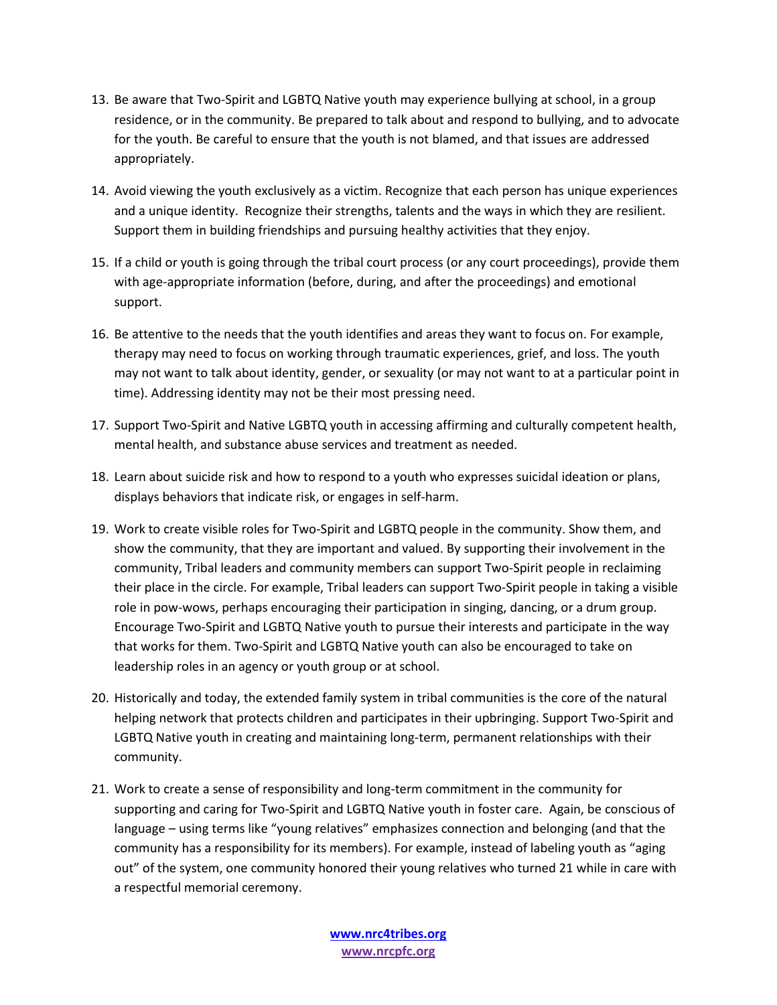- 13. Be aware that Two-Spirit and LGBTQ Native youth may experience bullying at school, in a group residence, or in the community. Be prepared to talk about and respond to bullying, and to advocate for the youth. Be careful to ensure that the youth is not blamed, and that issues are addressed appropriately.
- 14. Avoid viewing the youth exclusively as a victim. Recognize that each person has unique experiences and a unique identity. Recognize their strengths, talents and the ways in which they are resilient. Support them in building friendships and pursuing healthy activities that they enjoy.
- 15. If a child or youth is going through the tribal court process (or any court proceedings), provide them with age-appropriate information (before, during, and after the proceedings) and emotional support.
- 16. Be attentive to the needs that the youth identifies and areas they want to focus on. For example, therapy may need to focus on working through traumatic experiences, grief, and loss. The youth may not want to talk about identity, gender, or sexuality (or may not want to at a particular point in time). Addressing identity may not be their most pressing need.
- 17. Support Two-Spirit and Native LGBTQ youth in accessing affirming and culturally competent health, mental health, and substance abuse services and treatment as needed.
- 18. Learn about suicide risk and how to respond to a youth who expresses suicidal ideation or plans, displays behaviors that indicate risk, or engages in self-harm.
- 19. Work to create visible roles for Two-Spirit and LGBTQ people in the community. Show them, and show the community, that they are important and valued. By supporting their involvement in the community, Tribal leaders and community members can support Two-Spirit people in reclaiming their place in the circle. For example, Tribal leaders can support Two-Spirit people in taking a visible role in pow-wows, perhaps encouraging their participation in singing, dancing, or a drum group. Encourage Two-Spirit and LGBTQ Native youth to pursue their interests and participate in the way that works for them. Two-Spirit and LGBTQ Native youth can also be encouraged to take on leadership roles in an agency or youth group or at school.
- 20. Historically and today, the extended family system in tribal communities is the core of the natural helping network that protects children and participates in their upbringing. Support Two-Spirit and LGBTQ Native youth in creating and maintaining long-term, permanent relationships with their community.
- 21. Work to create a sense of responsibility and long-term commitment in the community for supporting and caring for Two-Spirit and LGBTQ Native youth in foster care. Again, be conscious of language – using terms like "young relatives" emphasizes connection and belonging (and that the community has a responsibility for its members). For example, instead of labeling youth as "aging out" of the system, one community honored their young relatives who turned 21 while in care with a respectful memorial ceremony.